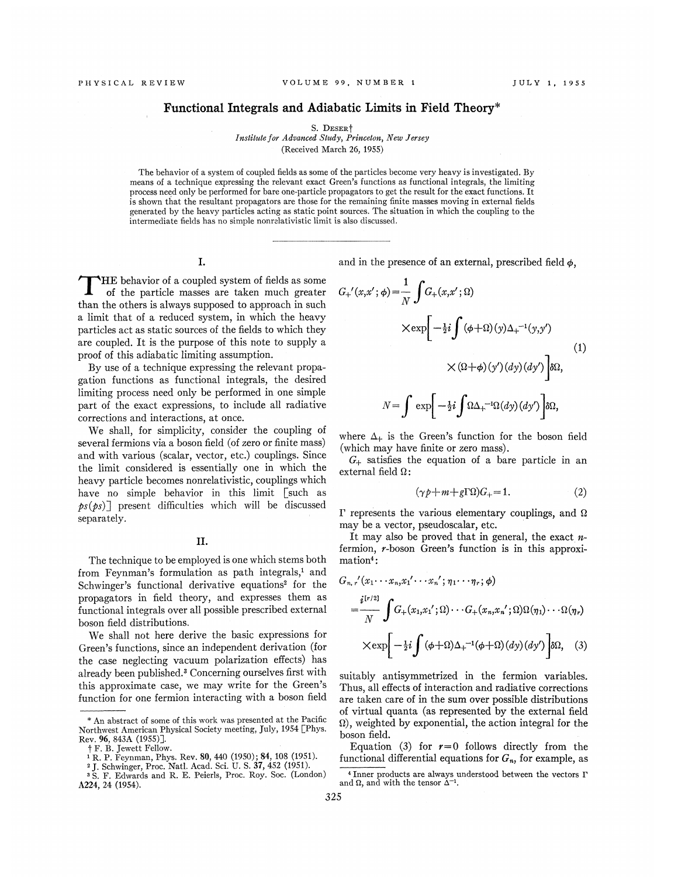## Functional Integrals and Adiabatic Limits in Field Theory\*

S. DESER<sup>†</sup>

Institute for Advanced Study, Princeton, New Jersey (Received March 26, 1955)

The behavior of a system of coupled fields as some of the particles become very heavy is investigated. By means of a technique expressing the relevant exact Green's functions as functional integrals, the limiting process need only be performed for bare one-particle propagators to get the result for the exact functions. It is shown that the resultant propagators are those for the remaining dnite masses moving in external fields generated by the heavy particles acting as static point sources. The situation in which the coupling to the intermediate fields has no simple nonrelativistic limit is also discussed.

## I.

HE behavior of a coupled system of fields as some of the particle masses are taken much greater than the others is always supposed to approach in such a limit that of a reduced system, in which the heavy particles act as static sources of the fields to which they are coupled. It is the purpose of this note to supply a proof of this adiabatic limiting assumption.

By use of a technique expressing the relevant propagation functions as functional integrals, the desired limiting process need only be performed in one simple part of the exact expressions, to include all radiative corrections and interactions, at once.

We shall, for simplicity, consider the coupling of several fermions via a boson field (of zero or finite mass) and with various (scalar, vector, etc.) couplings. Since the limit considered is essentially one in which the heavy particle becomes nonrelativistic, couplings which have no simple behavior in this limit [such as  $ps(ps)$ ] present difficulties which will be discussed separately.

## II.

The technique to be employed is one which stems both from Feynman's formulation as path integrals,<sup>1</sup> and Schwinger's functional derivative equations' for the propagators in field theory, and expresses them as functional integrals over all possible prescribed external boson field distributions.

We shall not here derive the basic expressions for Green's functions, since an independent derivation (for the case neglecting vacuum polarization effects) has already been published.<sup>3</sup> Concerning ourselves first with this approximate case, we may write for the Green's function for one fermion interacting with a boson fiel and in the presence of an external, prescribed field  $\phi$ ,

$$
G_{+}'(x,x';\phi) = \frac{1}{N} \int G_{+}(x,x';\Omega)
$$
  
 
$$
\times \exp\left[-\frac{1}{2}i\int (\phi+\Omega)(y)\Delta_{+}^{-1}(y,y')\right]
$$
  
 
$$
\times (\Omega+\phi)(y')(dy)(dy')\left[\delta\Omega,
$$
  
\n
$$
N = \int \exp\left[-\frac{1}{2}i\int \Omega\Delta_{+}^{-1}\Omega(dy)(dy')\right]\delta\Omega,
$$

where  $\Delta_+$  is the Green's function for the boson field (which may have finite or zero mass).

 $G<sub>+</sub>$  satisfies the equation of a bare particle in an external field  $\Omega$ :

$$
(\gamma p + m + g \Gamma \Omega) G_+ = 1. \tag{2}
$$

I' represents the various elementary couplings, and  $\Omega$ may be a vector, pseudoscalar, etc.

It may also be proved that in general, the exact  $n$ fermion, r-boson Green's function is in this approximation<sup>4</sup>:

$$
G_{n,r'}(x_1 \cdots x_n, x_1' \cdots x_n'; \eta_1 \cdots \eta_r; \phi)
$$
  
= 
$$
\frac{i^{[r/2]}}{N} \int G_+(x_1, x_1'; \Omega) \cdots G_+(x_n, x_n'; \Omega) \Omega(\eta_1) \cdots \Omega(\eta_r)
$$
  

$$
\times \exp \left[ -\frac{1}{2} i \int (\phi + \Omega) \Delta_+^{-1} (\phi + \Omega) (dy) (dy') \right] \delta \Omega, \quad (3)
$$

suitably antisymmetrized in the fermion variables. Thus, all effects of interaction and radiative corrections are taken care of in the sum over possible distributions of virtual quanta (as represented by the external field  $\Omega$ ), weighted by exponential, the action integral for the boson field.

Equation (3) for  $r=0$  follows directly from the functional differential equations for  $G_n$ , for example, as

<sup>~</sup> An abstract of some of this work was presented at the Pacific Northwest American Physical Society meeting, July, 1954 LPhys. Rev. 96, 843A (1955)].

f F. B.Jewett Fellow. '

R. P. Feynman, Phys. Rev. 80, 440 (1950); 84, 108 (1951).

<sup>&</sup>lt;sup>2</sup> J. Schwinger, Proc. Natl. Acad. Sci. U. S. 37, 452 (1951).

<sup>&</sup>lt;sup>3</sup> S. F. Edwards and R. E. Peierls, Proc. Roy. Soc. (London) A224, 24 (1954).

 $^4$  Inner products are always understood between the vectors  $\Gamma$ and  $\Omega$ , and with the tensor  $\Delta^{-1}$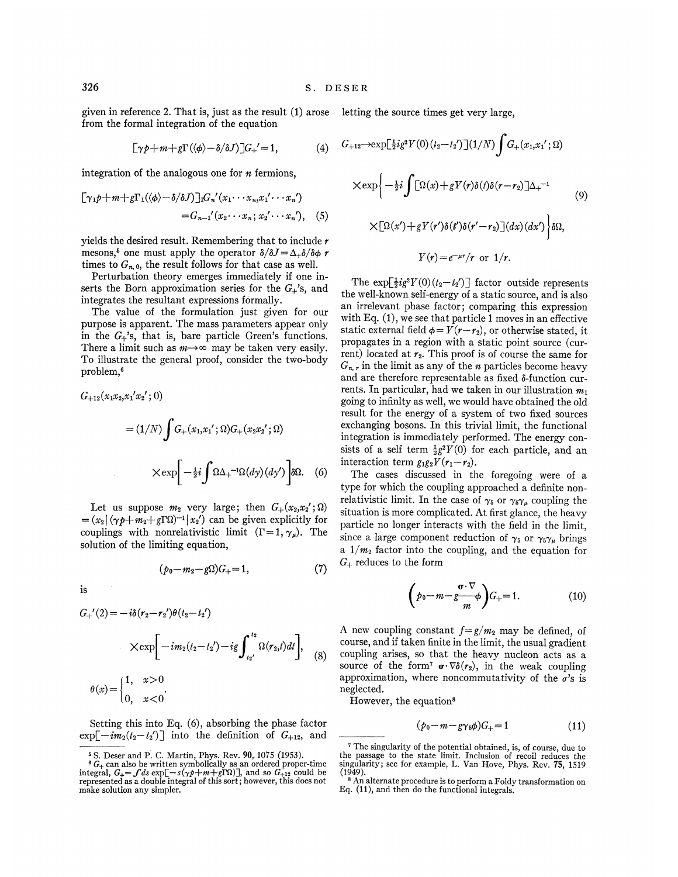given in reference 2. That is, just as the result (1) arose letting the source times get very large, from the formal integration of the equation

$$
[\gamma p + m + g\Gamma(\langle \phi \rangle - \delta/\delta J)]G_{+}' = 1, \qquad (4)
$$

integration of the analogous one for  $n$  fermions,

$$
\begin{aligned} \left[\gamma_1 p + m + g \Gamma_1(\langle \phi \rangle - \delta/\delta J) \right] & \text{if } G_n'(x_1 \cdots x_n, x_1' \cdots x_n') \\ &= G_{n-1}'(x_2 \cdots x_n; x_2' \cdots x_n'), \quad (5) \end{aligned}
$$

vields the desired result. Remembering that to include  $r$ mesons,<sup>5</sup> one must apply the operator  $\delta/\delta J = \Delta_+ \delta/\delta \phi r$ times to  $G_{n,0}$ , the result follows for that case as well.

Perturbation theory emerges immediately if one inserts the Born approximation series for the  $G_{+}$ 's, and integrates the resultant expressions formally.

The value of the formulation just given for our purpose is apparent. The mass parameters appear only in the  $G_{+}$ 's, that is, bare particle Green's functions. There a limit such as  $m \rightarrow \infty$  may be taken very easily. To illustrate the general proof, consider the two-body problem,<sup>6</sup>

$$
G_{+12}(x_1x_2, x_1'x_2'; 0)
$$
  
\n
$$
= (1/N) \int G_{+}(x_1, x_1'; \Omega) G_{+}(x_2x_2'; \Omega)
$$
  
\n
$$
\times \exp \left[ -\frac{1}{2}i \int \Omega \Delta_{+}^{-1} \Omega(dy)(dy') \right] \delta \Omega.
$$
 (6)

Let us suppose  $m_2$  very large; then  $G_+(x_2,x_2';\Omega)$  $= (x_2 | (\gamma p + m_2 + g \Gamma \Omega)^{-1} | x_2' )$  can be given explicitly for couplings with nonrelativistic limit  $(T=1, \gamma_u)$ . The solution of the limiting equation,

$$
(p_0 - m_2 - g\Omega)G_+ = 1,\t(7)
$$

is

$$
G_{+}'(2) = -i\delta(r_{2} - r_{2}')\theta(t_{2} - t_{2}')
$$
  
 
$$
\times \exp\left[-im_{2}(t_{2} - t_{2}') - ig\int_{t_{2}'}^{t_{2}} \Omega(r_{2}, t)dt\right],
$$
  
\n
$$
\theta(x) = \begin{cases} 1, & x > 0 \\ 0, & x < 0 \end{cases}
$$
 (8)

Setting this into Eq. (6), absorbing the phase factor  $\exp[-im_2(t_2-t_2')]$  into the definition of  $G_{+12}$ , and

$$
[\gamma p + m + g\Gamma(\langle\phi\rangle - \delta/\delta J)]G_{+}' = 1,
$$
\n
$$
\text{of the analogous one for } n \text{ fermions,}
$$
\n
$$
[\Gamma_{1}(\langle\phi\rangle - \delta/\delta J)]G_{+}'(x_{1} \cdots x_{n}, x_{1}' \cdots x_{n}')
$$
\n
$$
= G_{n-1}'(x_{2} \cdots x_{n}; x_{2}' \cdots x_{n}'), \quad (5)
$$
\n
$$
\text{esired result. Remembering that to include } r
$$
\n
$$
\text{the must apply the operator } \delta/\delta J = \Delta_{+}\delta/\delta\phi \ r
$$
\n
$$
\text{the result follows for that } \text{csc} \text{ is a small number of terms.}
$$
\n
$$
[\Omega(x') + gY(r)\delta(t')\delta(r' - r_{2})](dx)(dx')\delta\Omega,
$$
\n
$$
Y(r) = e^{-\mu r}/r \text{ or } 1/r.
$$
\n
$$
(9)
$$

The  $\exp[\frac{1}{2}ig^2Y(0)(t_2-t_2')]$  factor outside represents the well-known self-energy of a static source, and is also an irrelevant phase factor; comparing this expression with Eq. (1), we see that particle 1 moves in an effective static external field  $\phi = Y(r-r_2)$ , or otherwise stated, it propagates in a region with a static point source (current) located at  $r_2$ . This proof is of course the same for  $G_{n,r}$  in the limit as any of the *n* particles become heavy and are therefore representable as fixed  $\delta$ -function currents. In particular, had we taken in our illustration  $m_1$ going to in6nlty as well, we would have obtained the old result for the energy of a system of two fixed sources exchanging bosons. In this trivial limit, the functional integration is immediately performed. The energy consists of a self term  $\frac{1}{2}g^2V(0)$  for each particle, and an interaction term  $g_1g_2 Y(r_1-r_2)$ .

The cases discussed in the foregoing were of a type for which the coupling approached a definite nonrelativistic limit. In the case of  $\gamma_5$  or  $\gamma_5\gamma_\mu$  coupling the situation is more complicated. At first glance, the heavy particle no longer interacts with the field in the limit, since a large component reduction of  $\gamma_5$  or  $\gamma_5\gamma_\mu$  brings a  $1/m_2$  factor into the coupling, and the equation for  $G_{+}$  reduces to the form

$$
\left(p_0 - m - g \frac{\sigma \cdot \nabla}{m} \phi\right) G_+ = 1. \tag{10}
$$

A new coupling constant  $f = g/m_2$  may be defined, of course, and if taken finite in the limit, the usual gradient coupling arises, so that the heavy nucleon acts as a source of the form<sup>7</sup>  $\sigma \cdot \nabla \delta(r_2)$ , in the weak coupling approximation, where noncommutativity of the  $\sigma$ 's is neglected.

However, the equation'

$$
(p_0 - m - g\gamma_5 \phi)G_+ = 1 \tag{11}
$$

326

<sup>s</sup> S. Deser and P. C. Martin, Phys. Rev. 90, 1075 (1953).

<sup>&</sup>lt;sup>6</sup>  $G_+$  can also be written symbolically as an ordered proper-time integral,  $G_+ = \int ds \exp[-s(\gamma p + m + gI\Omega)]$ , and so  $G_{+12}$  could be represented as a double integral of this sort; however, this does not make solution any simpler.

The singularity of the potential obtained, is, of course, due to the passage to the state limit. Inclusion of recoil reduces the singularity; see for example, L. Van Hove, Phys. Rev. 75, 1519 (1949).

<sup>8</sup> An alternate procedure is to perform a Foldy transformation on Eq. (11), and then do the functional integrais.